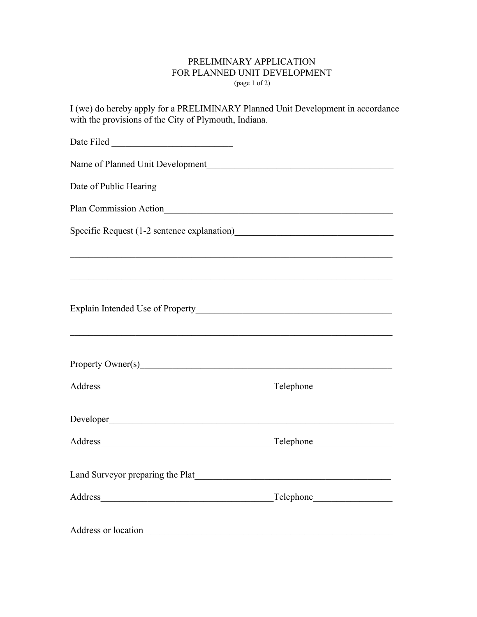## PRELIMINARY APPLICATION FOR PLANNED UNIT DEVELOPMENT (page 1 of 2)

I (we) do hereby apply for a PRELIMINARY Planned Unit Development in accordance with the provisions of the City of Plymouth, Indiana.

| Name of Planned Unit Development                                                                                                                                                                                                       |  |
|----------------------------------------------------------------------------------------------------------------------------------------------------------------------------------------------------------------------------------------|--|
|                                                                                                                                                                                                                                        |  |
|                                                                                                                                                                                                                                        |  |
| Specific Request (1-2 sentence explanation)<br><u>Letter and the set of the set of the set of the set of the set of the set of the set of the set of the set of the set of the set of the set of the set of the set of the set of </u> |  |
| ,我们也不能在这里的人,我们也不能在这里的人,我们也不能在这里的人,我们也不能在这里的人,我们也不能在这里的人,我们也不能在这里的人,我们也不能在这里的人,我们也                                                                                                                                                      |  |
|                                                                                                                                                                                                                                        |  |
|                                                                                                                                                                                                                                        |  |
|                                                                                                                                                                                                                                        |  |
| <u> 1989 - Johann John Harry Barn, amerikan bernama di sebagai bernama di sebagai bernama di sebagai bernama di s</u>                                                                                                                  |  |
|                                                                                                                                                                                                                                        |  |
|                                                                                                                                                                                                                                        |  |
|                                                                                                                                                                                                                                        |  |
|                                                                                                                                                                                                                                        |  |
|                                                                                                                                                                                                                                        |  |
|                                                                                                                                                                                                                                        |  |
|                                                                                                                                                                                                                                        |  |
| Address or location                                                                                                                                                                                                                    |  |